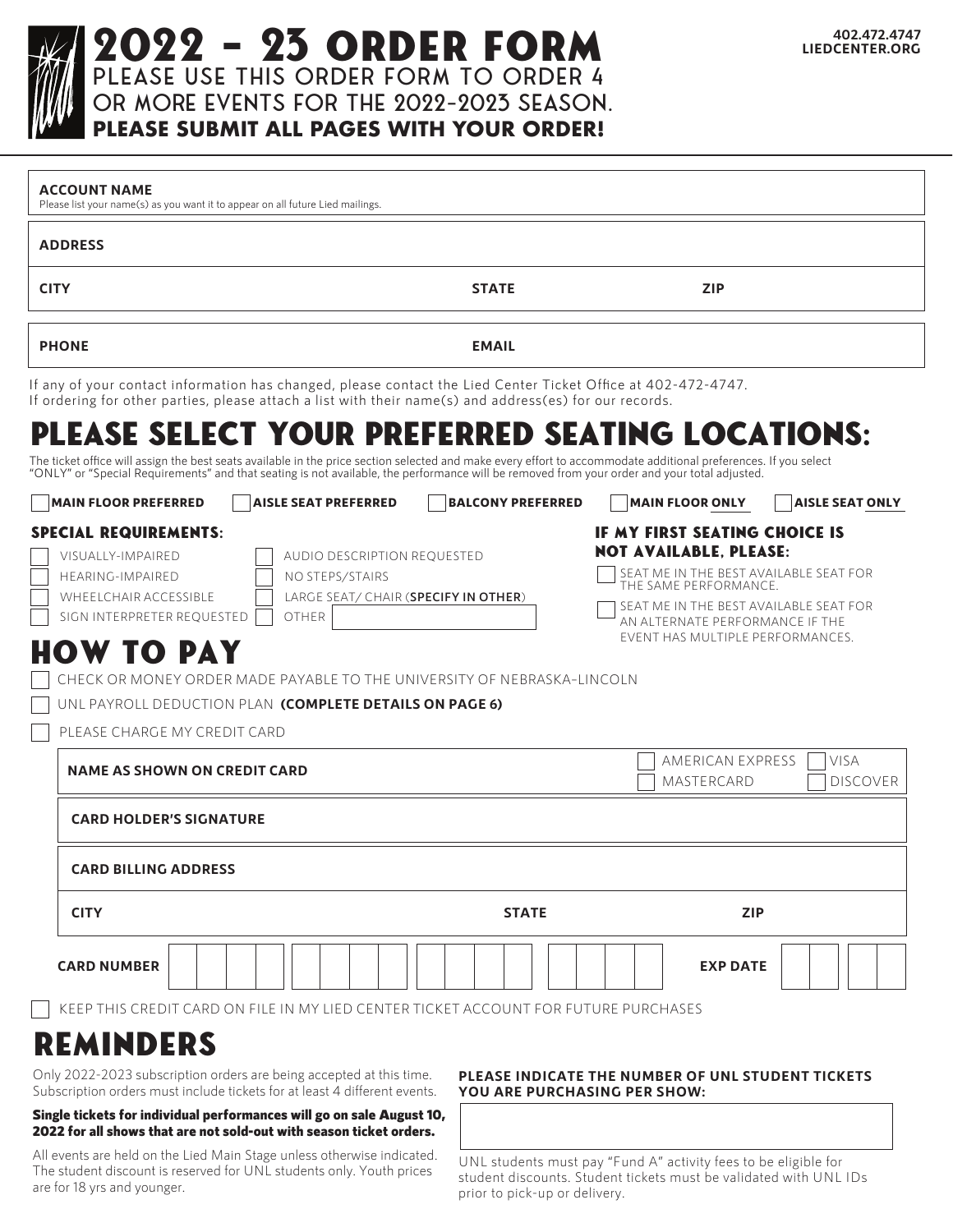### **402.472.4747 LIEDCENTER.ORG**

Please use this order form to order 4 or more events for the 2022-2023 season. 2022 - 23 order form

**PLEASE SUBMIT ALL PAGES WITH YOUR ORDER!**

| <b>ADDRESS</b>                                                                                                                                                                                                                                                                                                                                                                                   |                                      |                                                                                                                                                                                                                                                    |                                |
|--------------------------------------------------------------------------------------------------------------------------------------------------------------------------------------------------------------------------------------------------------------------------------------------------------------------------------------------------------------------------------------------------|--------------------------------------|----------------------------------------------------------------------------------------------------------------------------------------------------------------------------------------------------------------------------------------------------|--------------------------------|
| <b>CITY</b>                                                                                                                                                                                                                                                                                                                                                                                      | <b>STATE</b>                         | <b>ZIP</b>                                                                                                                                                                                                                                         |                                |
| <b>PHONE</b>                                                                                                                                                                                                                                                                                                                                                                                     | <b>EMAIL</b>                         |                                                                                                                                                                                                                                                    |                                |
| If any of your contact information has changed, please contact the Lied Center Ticket Office at 402-472-4747.<br>If ordering for other parties, please attach a list with their name(s) and address(es) for our records.                                                                                                                                                                         |                                      |                                                                                                                                                                                                                                                    |                                |
| PLEASE SELECT YOUR PREFERRED SEATING LOCATIONS:<br>The ticket office will assign the best seats available in the price section selected and make every effort to accommodate additional preferences. If you select<br>"ONLY" or "Special Requirements" and that seating is not available, the performance will be removed from your order and your total adjusted.                               |                                      |                                                                                                                                                                                                                                                    |                                |
| <b>MAIN FLOOR PREFERRED</b><br><b>AISLE SEAT PREFERRED</b>                                                                                                                                                                                                                                                                                                                                       | <b>BALCONY PREFERRED</b>             | <b>MAIN FLOOR ONLY</b>                                                                                                                                                                                                                             | <b>AISLE SEAT ONLY</b>         |
| <b>SPECIAL REQUIREMENTS:</b><br>VISUALLY-IMPAIRED<br><b>AUDIO DESCRIPTION REQUESTED</b><br>HEARING-IMPAIRED<br>NO STEPS/STAIRS<br>WHEELCHAIR ACCESSIBLE<br><b>OTHER</b><br>SIGN INTERPRETER REQUESTED<br><b>HOW TO PAY</b><br>CHECK OR MONEY ORDER MADE PAYABLE TO THE UNIVERSITY OF NEBRASKA-LINCOLN<br>UNL PAYROLL DEDUCTION PLAN (COMPLETE DETAILS ON PAGE 6)<br>PLEASE CHARGE MY CREDIT CARD | LARGE SEAT/ CHAIR (SPECIFY IN OTHER) | IF MY FIRST SEATING CHOICE IS<br><b>NOT AVAILABLE, PLEASE:</b><br>SEAT ME IN THE BEST AVAILABLE SEAT FOR<br>THE SAME PERFORMANCE.<br>SEAT ME IN THE BEST AVAILABLE SEAT FOR<br>AN ALTERNATE PERFORMANCE IF THE<br>EVENT HAS MULTIPLE PERFORMANCES. |                                |
| <b>NAME AS SHOWN ON CREDIT CARD</b>                                                                                                                                                                                                                                                                                                                                                              |                                      | AMERICAN EXPRESS<br>MASTERCARD                                                                                                                                                                                                                     | <b>VISA</b><br><b>DISCOVER</b> |
| <b>CARD HOLDER'S SIGNATURE</b>                                                                                                                                                                                                                                                                                                                                                                   |                                      |                                                                                                                                                                                                                                                    |                                |
| <b>CARD BILLING ADDRESS</b>                                                                                                                                                                                                                                                                                                                                                                      |                                      |                                                                                                                                                                                                                                                    |                                |
| <b>CITY</b>                                                                                                                                                                                                                                                                                                                                                                                      | <b>STATE</b>                         | <b>ZIP</b>                                                                                                                                                                                                                                         |                                |
|                                                                                                                                                                                                                                                                                                                                                                                                  |                                      | <b>EXP DATE</b>                                                                                                                                                                                                                                    |                                |

reminders Only 2022-2023 subscription orders are being accepted at this time.

Subscription orders must include tickets for at least 4 different events.

#### Single tickets for individual performances will go on sale August 10, 2022 for all shows that are not sold-out with season ticket orders.

All events are held on the Lied Main Stage unless otherwise indicated. The student discount is reserved for UNL students only. Youth prices are for 18 yrs and younger.

#### **PLEASE INDICATE THE NUMBER OF UNL STUDENT TICKETS YOU ARE PURCHASING PER SHOW:**

UNL students must pay "Fund A" activity fees to be eligible for student discounts. Student tickets must be validated with UNL IDs prior to pick-up or delivery.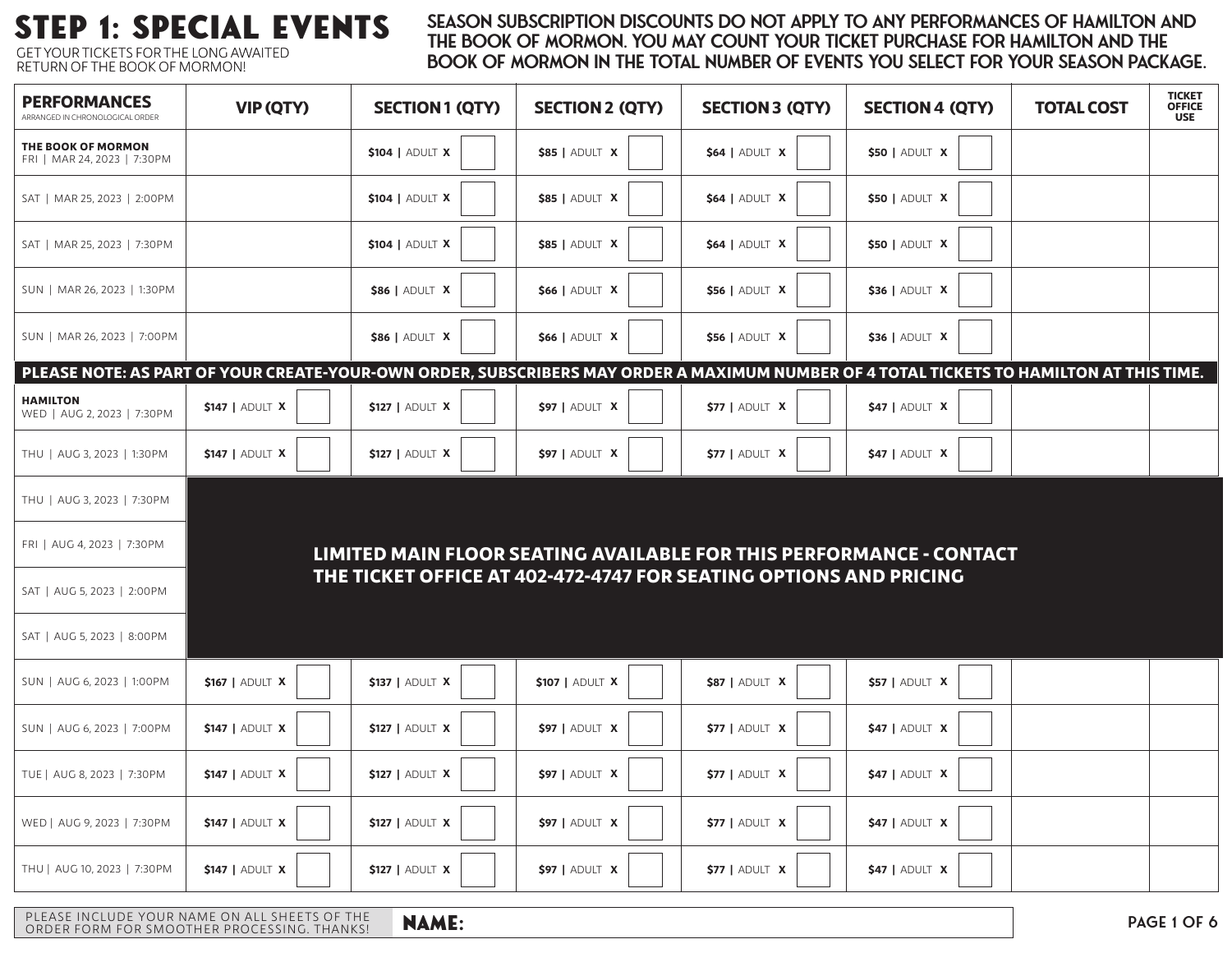GET YOUR TICKETS FOR THE LONG AWAITED RETURN OF THE BOOK OF MORMON!

### STEP 1: SPECIAL EVENTS SEASON SUBSCRIPTION DISCOUNTS DO NOT APPLY TO ANY PERFORMANCES OF HAMILTON AND THE SOOK OF MORMON. YOU MAY COUNT YOUR TICKET PURCHASE FOR HAMILTON AND THE Book of Mormon in the total number of events you select for your season package.

| <b>PERFORMANCES</b><br>ARRANGED IN CHRONOLOGICAL ORDER                                                                                  | <b>VIP (QTY)</b>       | <b>SECTION 1 (QTY)</b>                                              | <b>SECTION 2 (QTY)</b> | <b>SECTION 3 (QTY)</b> | <b>SECTION 4 (QTY)</b> | <b>TOTAL COST</b> | <b>TICKET<br/>OFFICE</b><br><b>USE</b> |
|-----------------------------------------------------------------------------------------------------------------------------------------|------------------------|---------------------------------------------------------------------|------------------------|------------------------|------------------------|-------------------|----------------------------------------|
| THE BOOK OF MORMON<br>FRI   MAR 24, 2023   7:30PM                                                                                       |                        | \$104   ADULT X                                                     | \$85   ADULT X         | <b>\$64   ADULT X</b>  | \$50   ADULT X         |                   |                                        |
| SAT   MAR 25, 2023   2:00PM                                                                                                             |                        | \$104   ADULT X                                                     | \$85   ADULT X         | $$64$   ADULT X        | $$50$   Adult X        |                   |                                        |
| SAT   MAR 25, 2023   7:30PM                                                                                                             |                        | $$104$   Adult X                                                    | \$85   ADULT X         | $$64$   ADULT X        | \$50   ADULT X         |                   |                                        |
| SUN   MAR 26, 2023   1:30PM                                                                                                             |                        | <b>\$86   ADULT X</b>                                               | \$66   ADULT X         | <b>\$56   ADULT X</b>  | \$36   ADULT X         |                   |                                        |
| SUN   MAR 26, 2023   7:00PM                                                                                                             |                        | <b>\$86   ADULT X</b>                                               | <b>\$66   ADULT X</b>  | <b>\$56   ADULT X</b>  | \$36   ADULT X         |                   |                                        |
| PLEASE NOTE: AS PART OF YOUR CREATE-YOUR-OWN ORDER, SUBSCRIBERS MAY ORDER A MAXIMUM NUMBER OF 4 TOTAL TICKETS TO HAMILTON AT THIS TIME. |                        |                                                                     |                        |                        |                        |                   |                                        |
| <b>HAMILTON</b><br>WED   AUG 2, 2023   7:30 PM                                                                                          | <b>\$147   ADULT X</b> | $$127$   ADULT X                                                    | $$97$   ADULT X        | $$77$   Adult $X$      | $$47$   Adult $X$      |                   |                                        |
| THU   AUG 3, 2023   1:30PM                                                                                                              | <b>\$147   ADULT X</b> | <b>\$127   ADULT X</b>                                              | \$97   ADULT X         | $$77$   ADULT $X$      | $$47$   ADULT X        |                   |                                        |
| THU   AUG 3, 2023   7:30PM                                                                                                              |                        |                                                                     |                        |                        |                        |                   |                                        |
| FRI   AUG 4, 2023   7:30 PM                                                                                                             |                        | LIMITED MAIN FLOOR SEATING AVAILABLE FOR THIS PERFORMANCE - CONTACT |                        |                        |                        |                   |                                        |
| SAT   AUG 5, 2023   2:00PM                                                                                                              |                        | THE TICKET OFFICE AT 402-472-4747 FOR SEATING OPTIONS AND PRICING   |                        |                        |                        |                   |                                        |
| SAT   AUG 5, 2023   8:00PM                                                                                                              |                        |                                                                     |                        |                        |                        |                   |                                        |
| SUN   AUG 6, 2023   1:00PM                                                                                                              | \$167   ADULT X        | <b>\$137   ADULT X</b>                                              | \$107   ADULT X        | <b>\$87   ADULT X</b>  | <b>\$57   ADULT X</b>  |                   |                                        |
| SUN   AUG 6, 2023   7:00PM                                                                                                              | $$147$   ADULT X       | <b>\$127   ADULT X</b>                                              | \$97   ADULT X         | <b>\$77   ADULT X</b>  | $$47$   adult $X$      |                   |                                        |
| TUE   AUG 8, 2023   7:30PM                                                                                                              | \$147   ADULT X        | $$127$   adult X                                                    | \$97   ADULT X         | $$77$   adult $X$      | $$47$   adult $X$      |                   |                                        |
| WED   AUG 9, 2023   7:30PM                                                                                                              | <b>\$147   ADULT X</b> | <b>\$127   ADULT X</b>                                              | \$97   ADULT X         | $$77$   ADULT $X$      | \$47   ADULT X         |                   |                                        |
| THU   AUG 10, 2023   7:30PM                                                                                                             | <b>\$147   ADULT X</b> | <b>\$127   ADULT X</b>                                              | \$97   ADULT X         | <b>\$77   ADULT X</b>  | $$47$   adult $X$      |                   |                                        |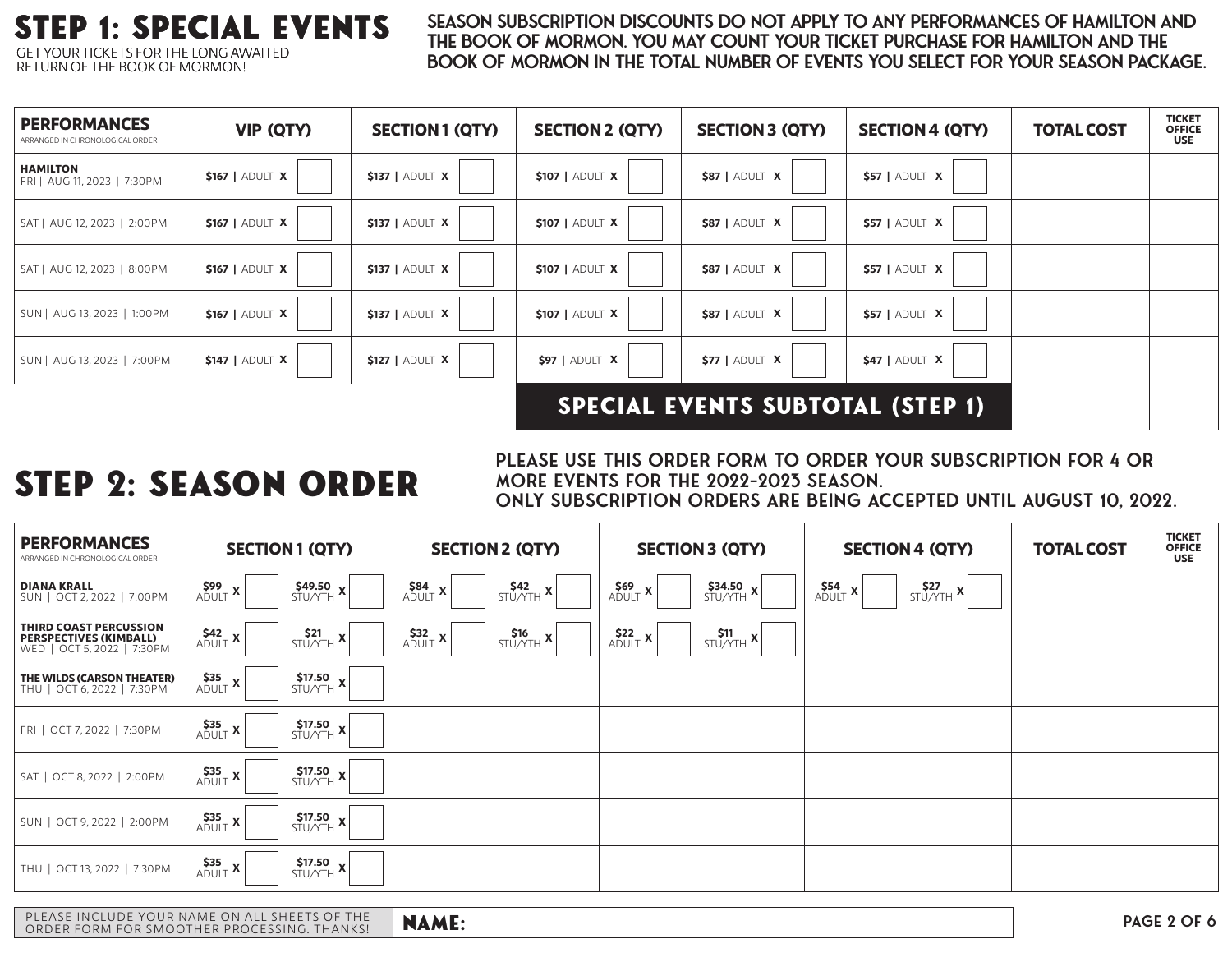### step 1: special events GET YOUR TICKETS FOR THE LONG AWAITED

RETURN OF THE BOOK OF MORMON!

### Season subscription discounts do not apply to any performances of Hamilton and THE BOOK OF MORMON. YOU MAY COUNT YOUR TICKET PURCHASE FOR HAMILTON AND THE Book of Mormon in the total number of events you select for your season package.

| <b>PERFORMANCES</b><br>ARRANGED IN CHRONOLOGICAL ORDER | <b>VIP (QTY)</b> | <b>SECTION 1 (QTY)</b> | <b>SECTION 2 (QTY)</b> | <b>SECTION 3 (QTY)</b> | <b>SECTION 4 (QTY)</b> | <b>TOTAL COST</b> | <b>TICKET</b><br><b>OFFICE</b><br><b>USE</b> |
|--------------------------------------------------------|------------------|------------------------|------------------------|------------------------|------------------------|-------------------|----------------------------------------------|
| <b>HAMILTON</b><br>FRI   AUG 11, 2023   7:30PM         | $$167$   Adult X | \$137   ADULT X        | \$107   ADULT X        | <b>\$87   ADULT X</b>  | $$57$   ADULT $X$      |                   |                                              |
| SAT   AUG 12, 2023   2:00PM                            | \$167   ADULT X  | \$137   ADULT X        | \$107   ADULT X        | <b>\$87   ADULT X</b>  | $$57$   ADULT $X$      |                   |                                              |
| SAT   AUG 12, 2023   8:00PM                            | \$167   ADULT X  | <b>\$137   ADULT X</b> | \$107   ADULT X        | <b>\$87   ADULT X</b>  | $$57$   ADULT $X$      |                   |                                              |
| SUN   AUG 13, 2023   1:00PM                            | \$167   ADULT X  | \$137   ADULT X        | \$107   ADULT X        | <b>\$87   ADULT X</b>  | $$57$   Adult $X$      |                   |                                              |
| SUN   AUG 13, 2023   7:00PM                            | $$147$   Adult X | \$127   ADULT X        | \$97   ADULT X         | $$77$   ADULT $X$      | $$47$   ADULT X        |                   |                                              |
| <b>SPECIAL EVENTS SUBTOTAL (STEP 1)</b>                |                  |                        |                        |                        |                        |                   |                                              |

# step 2: Season order

PLEASE USE THIS ORDER FORM TO ORDER YOUR SUBSCRIPTION FOR 4 OR MORE EVENTS FOR THE 2022-2023 SEASON. ONLY SUBSCRIPTION ORDERS ARE BEING ACCEPTED UNTIL AUGUST 10, 2022.

| <b>PERFORMANCES</b><br>ARRANGED IN CHRONOLOGICAL ORDER                                | <b>SECTION1 (QTY)</b>                                                               | <b>SECTION 2 (QTY)</b>                                          | <b>SECTION 3 (QTY)</b>                           | <b>SECTION 4 (QTY)</b>          | <b>TOTAL COST</b> | <b>TICKET</b><br><b>OFFICE</b><br><b>USE</b> |
|---------------------------------------------------------------------------------------|-------------------------------------------------------------------------------------|-----------------------------------------------------------------|--------------------------------------------------|---------------------------------|-------------------|----------------------------------------------|
| <b>DIANA KRALL</b><br>SUN   OCT 2, 2022   7:00PM                                      | $\frac{$49.50}{$TUV\gamma TH}x$<br>$\mathsf{S99}_{\mathsf{ADULT}}$ <b>x</b>         | $S$ <sup>542</sup> x<br>$\underset{\text{ADULT}}{\text{S84}}$ x | $S69$ X<br>$$34.50$<br>STU/YTH $x$               | $S$ <sup>527</sup> x<br>$S54$ X |                   |                                              |
| THIRD COAST PERCUSSION<br><b>PERSPECTIVES (KIMBALL)</b><br>WED   OCT 5, 2022   7:30PM | $\underset{\text{ADULT}}{\text{S42}}$ x<br>$S$ <sup>21</sup> $x$                    | $\underset{\text{ADULT}}{\text{S32}}\,x$<br>S T U / Y T H X     | $\frac{\text{S11}}{\text{STU/YTH}}$ X<br>$S22$ X |                                 |                   |                                              |
| THE WILDS (CARSON THEATER)<br>THU   OCT 6, 2022   7:30PM                              | $535$<br>Adult<br>$S$ 17.50 $x$                                                     |                                                                 |                                                  |                                 |                   |                                              |
| FRI   OCT 7, 2022   7:30PM                                                            | $\underset{\text{ADULT}}{\text{S35}}$ X<br>$S$ 17.50 $x$                            |                                                                 |                                                  |                                 |                   |                                              |
| SAT   OCT 8, 2022   2:00PM                                                            | $\frac{\$35}{ADULT}$ x<br>$\frac{\$17.50}{STU/\gamma TH}x$                          |                                                                 |                                                  |                                 |                   |                                              |
| SUN   OCT 9, 2022   2:00PM                                                            | $\underset{\text{ADULT}}{\text{S35}}\textbf{x}$<br>$S$ 17.50 $x$                    |                                                                 |                                                  |                                 |                   |                                              |
| THU   OCT 13, 2022   7:30PM                                                           | $\underset{\text{ADULT}}{\text{S35}}$ X<br>$\frac{\text{S17.50}}{\text{STU/YTH}}$ x |                                                                 |                                                  |                                 |                   |                                              |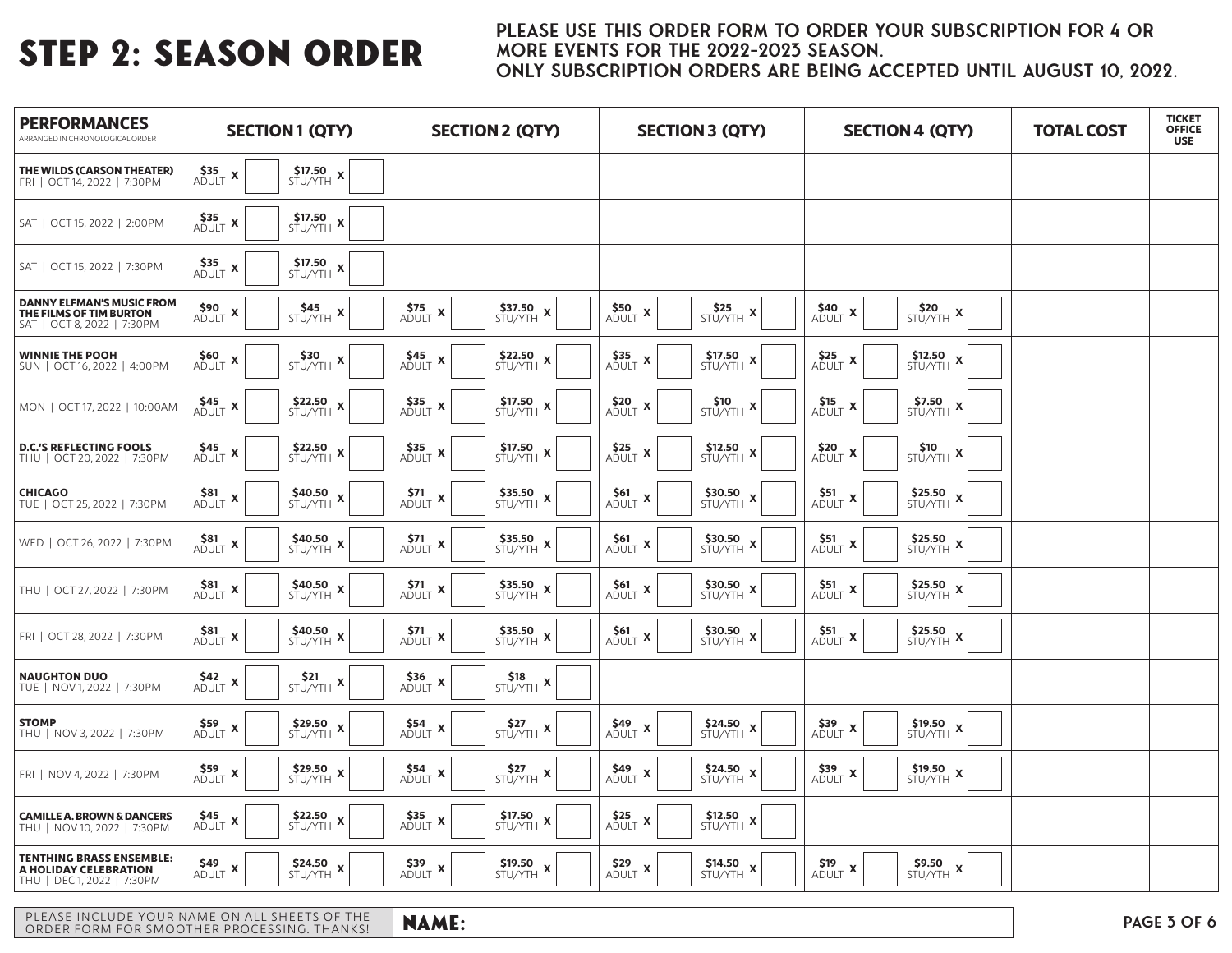### PLEASE USE THIS ORDER FORM TO ORDER YOUR SUBSCRIPTION FOR 4 OR MORE EVENTS FOR THE 2022-2023 SEASON. ONLY SUBSCRIPTION ORDERS ARE BEING ACCEPTED UNTIL AUGUST 10, 2022.

| <b>PERFORMANCES</b><br>ARRANGED IN CHRONOLOGICAL ORDER                                     | <b>SECTION1 (QTY)</b>                                                    | <b>SECTION 2 (QTY)</b>                                                            | <b>SECTION 3 (QTY)</b>                                                                                                                                                                                                                                                                                                                                                                                 | <b>SECTION 4 (QTY)</b>                                                                                                                                                                                                                                                                                                                                                                                    | <b>TOTAL COST</b> | <b>TICKET</b><br><b>OFFICE</b><br><b>USE</b> |
|--------------------------------------------------------------------------------------------|--------------------------------------------------------------------------|-----------------------------------------------------------------------------------|--------------------------------------------------------------------------------------------------------------------------------------------------------------------------------------------------------------------------------------------------------------------------------------------------------------------------------------------------------------------------------------------------------|-----------------------------------------------------------------------------------------------------------------------------------------------------------------------------------------------------------------------------------------------------------------------------------------------------------------------------------------------------------------------------------------------------------|-------------------|----------------------------------------------|
| THE WILDS (CARSON THEATER)<br>FRI   OCT 14, 2022   7:30PM                                  | \$35<br>$$17.50$<br>STU/YTH X<br>$ADULT$ $X$                             |                                                                                   |                                                                                                                                                                                                                                                                                                                                                                                                        |                                                                                                                                                                                                                                                                                                                                                                                                           |                   |                                              |
| SAT   OCT 15, 2022   2:00PM                                                                | $$17.50$<br>STU/YTH X<br>$\underset{\text{ADULT}}{\text{S35}}$ x         |                                                                                   |                                                                                                                                                                                                                                                                                                                                                                                                        |                                                                                                                                                                                                                                                                                                                                                                                                           |                   |                                              |
| SAT   OCT 15, 2022   7:30PM                                                                | $535$ X ADULT<br>$$17.50$ $$\rm{\textstyle{{5\mathrm{TU/YTH}}}}$$<br>X   |                                                                                   |                                                                                                                                                                                                                                                                                                                                                                                                        |                                                                                                                                                                                                                                                                                                                                                                                                           |                   |                                              |
| <b>DANNY ELFMAN'S MUSIC FROM</b><br>THE FILMS OF TIM BURTON<br>SAT   OCT 8, 2022   7:30 PM | $590$<br>Adult X<br>$$45$<br>STU/YTH $x$                                 | $575$ X Adult<br>$$37.50STU/YTH$ $\times$                                         | $$50\rm{ }\over {\hbox{ADULT}}$ X<br>$$25$<br>STU/YTH $x$                                                                                                                                                                                                                                                                                                                                              | $\frac{\$40}{\mathsf{ADULT}}$ X<br>$$20$<br>STU/YTH X                                                                                                                                                                                                                                                                                                                                                     |                   |                                              |
| <b>WINNIE THE POOH</b><br>SUN   OCT 16, 2022   4:00PM                                      | $560$<br>Adult X<br>\$30<br>STU/YTH X                                    | $\underset{\text{ADULT}}{\text{S45}}$ X<br>$$22.50$ $\times10/\gamma$ TH $\times$ | $$17.50}_{\text{STU/YTH}}$ x<br>$\underset{\text{ADULT}}{\text{S35}}$ <b>x</b>                                                                                                                                                                                                                                                                                                                         | $\underset{\text{ADULT}}{\text{S25}}$ X<br>$\frac{\text{$12.50}}{\text{STU/YTH}}$ x                                                                                                                                                                                                                                                                                                                       |                   |                                              |
| MON   OCT 17, 2022   10:00AM                                                               | \$22.50<br>$545$<br>Adult X<br>$\boldsymbol{\mathsf{x}}$<br>STU/YTH      | $\underset{\text{ADULT}}{\text{S35}}$ X<br>\$17.50<br>$STU/YTH$ X                 | $\underset{\text{ADULT}}{\text{S20}}$ X<br>\$10<br>$\begin{picture}(20,5) \put(0,0){\line(1,0){15}} \put(15,0){\line(1,0){15}} \put(15,0){\line(1,0){15}} \put(15,0){\line(1,0){15}} \put(15,0){\line(1,0){15}} \put(15,0){\line(1,0){15}} \put(15,0){\line(1,0){15}} \put(15,0){\line(1,0){15}} \put(15,0){\line(1,0){15}} \put(15,0){\line(1,0){15}} \put(15,0){\line(1,0){15}} \put(15,0){\line(1,$ | $$15$ Adult<br>\$7.50<br>$\boldsymbol{\mathsf{x}}$<br>$\begin{picture}(20,5) \put(0,0){\line(1,0){15}} \put(15,0){\line(1,0){15}} \put(15,0){\line(1,0){15}} \put(15,0){\line(1,0){15}} \put(15,0){\line(1,0){15}} \put(15,0){\line(1,0){15}} \put(15,0){\line(1,0){15}} \put(15,0){\line(1,0){15}} \put(15,0){\line(1,0){15}} \put(15,0){\line(1,0){15}} \put(15,0){\line(1,0){15}} \put(15,0){\line(1,$ |                   |                                              |
| <b>D.C.'S REFLECTING FOOLS</b><br>THU   OCT 20, 2022   7:30PM                              | $$22.50$ $\times10/\gamma$ $\times10$<br>$545$ X ADULT                   | $\underset{\text{ADULT}}{\text{S35}}$ X<br>$$17.50}_{\text{STU/YTH}}$ x           | $$12.50$ $$\rm{\rm STU/YTH}$ $\times$<br>$\underset{\text{ADULT}}{\text{S25}}$ x                                                                                                                                                                                                                                                                                                                       | \$20 X<br>Adult<br>$\frac{\text{S10}}{\text{STU/YTH}}$ X                                                                                                                                                                                                                                                                                                                                                  |                   |                                              |
| <b>CHICAGO</b><br>TUE   OCT 25, 2022   7:30PM                                              | $$40.50$<br>STU/YTH X<br>$581$<br>Adult X                                | $\underset{\text{ADULT}}{\text{S71}}$ x<br>$$35.50STU/YTH$ $\times$               | $\frac{\text{ }}{\text{ }530.50}\text{ X}$<br>$_{\text{ADULT}}^{\text{S61}}$ x                                                                                                                                                                                                                                                                                                                         | $\overset{\text{S51}}{\text{ADULT}}$ x<br>$$25.50$ $\times$ $$570/\gamma\tau\textsc{h}$ $\times$                                                                                                                                                                                                                                                                                                          |                   |                                              |
| WED   OCT 26, 2022   7:30PM                                                                | $581$<br>Adult X<br>\$40.50<br>$\boldsymbol{\mathsf{x}}$<br>STU/YTH      | $$71$ Adult<br>$$35.50STU/YTH$ $\times$<br>$\boldsymbol{\mathsf{x}}$              | $$30.50$$ $\rm X$ $$570/YTH}$ $\times$<br>$561$ X adult                                                                                                                                                                                                                                                                                                                                                | $\mathsf{S51}_{\mathsf{ADULT}}$ <b>x</b><br>\$25.50 $\times$<br>STU/YTH                                                                                                                                                                                                                                                                                                                                   |                   |                                              |
| THU   OCT 27, 2022   7:30PM                                                                | $$40.50\times$57U/YTH}$ x<br>$\frac{\$81}{\mathsf{ADULT}}$ X             | $$35.50\atop \rm STU/YTH}$ x<br>$\underset{\text{ADULT}}{\text{S71}}$ x           | $\frac{\text{ }}{\text{ }530.50}\text{ X}$<br>$\underset{\text{ADULT}}{\text{S61}}$ x                                                                                                                                                                                                                                                                                                                  | $\overset{\text{S51}}{\text{ADULT}}$ x<br>\$25.50<br>$STU/YTH$ X                                                                                                                                                                                                                                                                                                                                          |                   |                                              |
| FRI   OCT 28, 2022   7:30 PM                                                               | \$40.50<br>\$81<br>ADULT X<br>STU/YTH X                                  | \$35.50<br>\$71<br>ADULT X<br>STU/YTH X                                           | \$30.50<br>\$61<br>ADULT X<br>STU/YTH X                                                                                                                                                                                                                                                                                                                                                                | \$51<br>\$25.50<br>ADULT X<br>$STU/YTH$ <b>X</b>                                                                                                                                                                                                                                                                                                                                                          |                   |                                              |
| <b>NAUGHTON DUO</b><br>TUE   NOV 1, 2022   7:30PM                                          | \$42<br>Adult<br>\$21<br>$\boldsymbol{\mathsf{x}}$<br>$STU/YTH$ <b>X</b> | \$36<br>\$18<br>ADULT X<br>$STU/YTH$ <b>X</b>                                     |                                                                                                                                                                                                                                                                                                                                                                                                        |                                                                                                                                                                                                                                                                                                                                                                                                           |                   |                                              |
| <b>STOMP</b><br>THU   NOV 3, 2022   7:30PM                                                 | $$29.50$ $\times$ $$STU/\gamma\tau H$ $\times$<br>$\xi_{\text{ADULT}}$ x | $\underset{\text{ADULT}}{\text{S54}}$ X<br>$SZ7$<br>$STU/YTH$ X                   | $\frac{\text{S24.50}}{\text{STU/YTH}}$ x<br>$\underset{\text{ADULT}}{\text{S49}}$ X                                                                                                                                                                                                                                                                                                                    | $539$ X adult<br>$$19.50\atop \text{STU/YTH}$ x                                                                                                                                                                                                                                                                                                                                                           |                   |                                              |
| FRI   NOV 4, 2022   7:30PM                                                                 | $_{\text{ADULT}}^{\text{S59}}$ x<br>$$29.50$<br>STU/YTH X                | $554$<br>Adult X<br>$SZ7$<br>$STU/YTH$ X                                          | $549$<br>Adult X<br>$$24.50$ $\times10/\gamma$ $\times10$                                                                                                                                                                                                                                                                                                                                              | $539$ X adult<br>$$19.50$<br>STU/YTH X                                                                                                                                                                                                                                                                                                                                                                    |                   |                                              |
| <b>CAMILLE A. BROWN &amp; DANCERS</b><br>THU   NOV 10, 2022   7:30PM                       | $$22.50$<br>STU/YTH X<br>$\underset{\text{ADULT}}{\text{S45}}$ x         | $\underset{\text{ADULT}}{\text{S35}}$ <b>x</b><br>$$17.50}_{\text{STU/YTH}}$ x    | $$12.50$<br>STU/YTH X<br>$\underset{\text{ADULT}}{\text{S25}}$ <b>x</b>                                                                                                                                                                                                                                                                                                                                |                                                                                                                                                                                                                                                                                                                                                                                                           |                   |                                              |
| <b>TENTHING BRASS ENSEMBLE:</b><br>A HOLIDAY CELEBRATION<br>THU   DEC 1, 2022   7:30PM     | \$49<br>$$24.50$<br>STU/YTH $x$<br>ADULT X                               | \$39<br>\$19.50<br>ADULT X<br>STU/YTH X                                           | $\underset{\text{ADULT}}{\text{S29}}$ X<br>$$14.50$<br>STU/YTH $x$                                                                                                                                                                                                                                                                                                                                     | $519$<br>Adult X<br>\$9.50<br>$STU/YTH$ <b>X</b>                                                                                                                                                                                                                                                                                                                                                          |                   |                                              |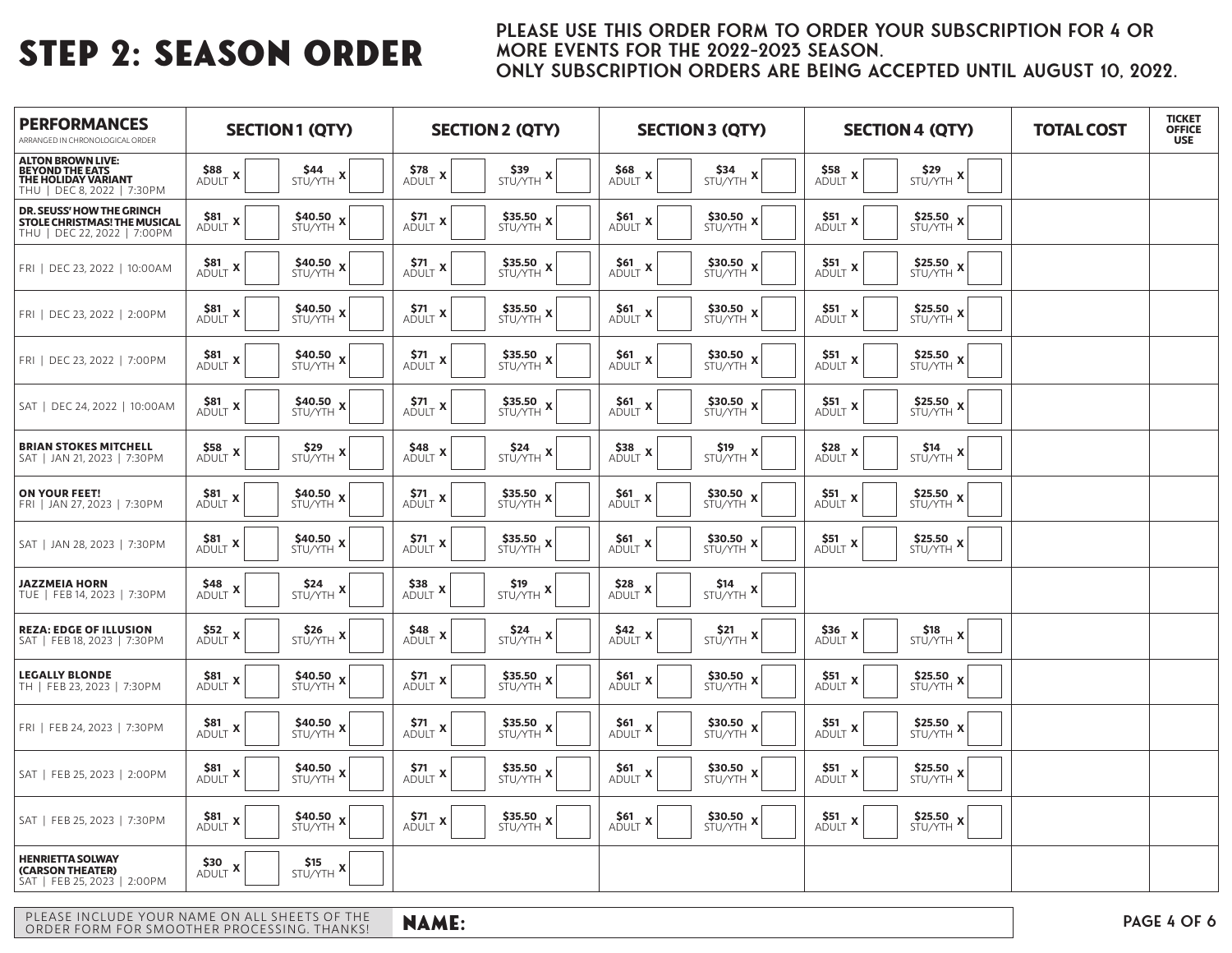### PLEASE USE THIS ORDER FORM TO ORDER YOUR SUBSCRIPTION FOR 4 OR MORE EVENTS FOR THE 2022-2023 SEASON. ONLY SUBSCRIPTION ORDERS ARE BEING ACCEPTED UNTIL AUGUST 10, 2022.

| <b>PERFORMANCES</b><br>ARRANGED IN CHRONOLOGICAL ORDER                                             | <b>SECTION1 (QTY)</b>                                |                               |                                                  | <b>SECTION 2 (QTY)</b>                        |                                         | <b>SECTION 3 (QTY)</b>                                                                                                                                                                                                                                                                                                                                      |                                                   | <b>SECTION 4 (QTY)</b>                                     | <b>TOTAL COST</b> | <b>TICKET</b><br><b>OFFICE</b><br><b>USE</b> |
|----------------------------------------------------------------------------------------------------|------------------------------------------------------|-------------------------------|--------------------------------------------------|-----------------------------------------------|-----------------------------------------|-------------------------------------------------------------------------------------------------------------------------------------------------------------------------------------------------------------------------------------------------------------------------------------------------------------------------------------------------------------|---------------------------------------------------|------------------------------------------------------------|-------------------|----------------------------------------------|
| <b>ALTON BROWN LIVE:<br/>BEYOND THE EATS<br/>THE HOLIDAY VARIANT</b><br>THU   DEC 8, 2022   7:30PM | \$88<br>$\overbrace{\mathsf{ADULT}}^{\mathsf{co}}$ X | $$44$<br>STU/YTH $x$          | $\overset{\text{S78}}{\text{ADULT}}$ X           | $$39$<br>Stu/yth X                            | $\underset{\text{ADULT}}{\text{S68}}$ x | $$34$<br>STU/YTH $x$                                                                                                                                                                                                                                                                                                                                        | \$58<br>Adult<br>$\boldsymbol{\mathsf{x}}$        | $$29$<br>STU/YTH $x$                                       |                   |                                              |
| DR. SEUSS' HOW THE GRINCH<br>STOLE CHRISTMAS! THE MUSICAL<br>THU   DEC 22, 2022   7:00PM           | \$81<br>$ADULT$ $X$                                  | $$40.50\times$57U/YTH}$ x     | \$71<br>$\boldsymbol{\mathsf{x}}$<br>ADULT       | $$35.50\times$57U/YTH}$ $\times$              | \$61<br>ADULT X                         | \$30.50<br>$\boldsymbol{\mathsf{x}}$<br>STU/YTH                                                                                                                                                                                                                                                                                                             | \$51<br>X<br>ADULT                                | \$25.50<br>STU/YTH X                                       |                   |                                              |
| FRI   DEC 23, 2022   10:00AM                                                                       | $\frac{\$81}{\mathsf{ADULT}}$ X                      | $$40.50\times$57U/YTH}$ x     | $\frac{\textsf{S71}}{\textsf{ADULT}}$ X          | $$35.50\times$57U/YTH$ $\times$               | $561$ X Adult                           |                                                                                                                                                                                                                                                                                                                                                             | $551$ X ADULT                                     | $$25.50$<br>STU/YTH X                                      |                   |                                              |
| FRI   DEC 23, 2022   2:00PM                                                                        | $581$ X ADULT X                                      | \$40.50<br>$STU/YTH$ <b>X</b> | \$71<br>$ADULT$ $X$                              | $$35.50\times$57U/YTH}$ x                     | $\frac{\text{S61}}{\text{ADULT}}$ X     | $$30.50$$ $\times$ $$57U/\rm{YTH}$ $\times$                                                                                                                                                                                                                                                                                                                 | $551$ X Adult                                     | $$25.50$<br>STU/YTH X                                      |                   |                                              |
| FRI   DEC 23, 2022   7:00PM                                                                        | \$81<br>$ADULT$ $X$                                  | $$40.50\times$57U/YTH}$ x     | \$71<br>$ADULT$ $X_1$                            | \$35.50<br>$STU/YTH$ X                        | \$61<br>ADULT X                         | \$30.50<br>$\boldsymbol{\mathsf{x}}$<br>STU/YTH                                                                                                                                                                                                                                                                                                             | \$51<br>X<br><b>ADULT</b>                         | \$25.50<br>STU/YTH X                                       |                   |                                              |
| SAT   DEC 24, 2022   10:00AM                                                                       | $581$ X<br>Adult                                     | $$40.50\times$57U/YTH}$ x     | \$71<br>$ADULT$ X                                | $$35.50\times$57U/YTH}$ $\times$              | $561$ X adult                           | \$30.50<br>$\boldsymbol{\mathsf{x}}$<br>STU/YTH                                                                                                                                                                                                                                                                                                             | <b>\$51</b><br>Adult<br>X                         | $$25.50$ $\times$ $$570/\gamma\tau\textnormal{H}$ $\times$ |                   |                                              |
| <b>BRIAN STOKES MITCHELL</b><br>SAT   JAN 21, 2023   7:30PM                                        | $558$<br>Adult                                       | \$29<br>$STU/YTH$ $X$         | $\underset{\text{ADULT}}{\text{S48}}$ x          | $$24$<br>STU/YTH $x$                          | $538$<br>Adult X                        | \$19<br>$\begin{picture}(20,5) \put(0,0){\line(0,1){15}} \put(15,0){\line(0,1){15}} \put(15,0){\line(0,1){15}} \put(15,0){\line(0,1){15}} \put(15,0){\line(0,1){15}} \put(15,0){\line(0,1){15}} \put(15,0){\line(0,1){15}} \put(15,0){\line(0,1){15}} \put(15,0){\line(0,1){15}} \put(15,0){\line(0,1){15}} \put(15,0){\line(0,1){15}} \put(15,0){\line(0,$ | <b>\$28</b><br>ADULT<br>۰X                        | $$^{514}_{STU/YTH}$ X                                      |                   |                                              |
| <b>ON YOUR FEET!</b><br>FRI   JAN 27, 2023   7:30PM                                                | \$81<br>ADULT X                                      | \$40.50<br>$STU/YTH$ $X_1$    | \$71<br>$A\overline{D} \overline{U} LT$ <b>X</b> | \$35.50<br>$STU/YTH$ X                        | \$61<br>ADULT X                         | \$30.50<br>STU/YTH X                                                                                                                                                                                                                                                                                                                                        | \$51<br>X<br><b>ADULT</b>                         | \$25.50<br>STU/YTH X                                       |                   |                                              |
| SAT   JAN 28, 2023   7:30PM                                                                        | $\underset{\text{ADULT}}{\text{S81}}$ x              | $$40.50\times$57U/YTH}$ x     | \$71<br>ADULT X                                  | \$35.50<br>$STU/YTH$ X                        | $_{\text{ADULT}}^{\text{S61}}$ x        | \$30.50<br>STU/YTH X                                                                                                                                                                                                                                                                                                                                        | \$51<br>$\boldsymbol{\mathsf{x}}$<br>ADULT        | \$25.50<br>STU/YTH X                                       |                   |                                              |
| <b>JAZZMEIA HORN</b><br>TUE   FEB 14, 2023   7:30PM                                                | \$48<br>$ADULT$ $X$                                  | \$24<br>$STU/YTH$ $X$         | $538$ Adult X                                    | \$19<br>$STU/YTH$ <b>X</b>                    | $\underset{\text{ADULT}}{\text{S28}}$ x | \$14<br>$STU/YTH$ $X$                                                                                                                                                                                                                                                                                                                                       |                                                   |                                                            |                   |                                              |
| <b>REZA: EDGE OF ILLUSION</b><br>SAT   FEB 18, 2023   7:30PM                                       | $552$ X ADULT                                        | $$26$<br>STU/YTH $x$          | $\underset{\text{ADULT}}{\text{S48}}$ x          | $\frac{\text{S24}}{\text{STU/YTH}}$ X         | $\underset{\text{ADULT}}{\text{S42}}$ x | $\frac{\text{S21}}{\text{STU/YTH}}$ X                                                                                                                                                                                                                                                                                                                       | <b>\$36</b><br>ADULT<br>$\boldsymbol{\mathsf{x}}$ | $$18$<br>STU/YTH $x$                                       |                   |                                              |
| <b>LEGALLY BLONDE</b><br>TH   FEB 23, 2023   7:30PM                                                | $581$ X ADULT X                                      | $$40.50\times$57U/YTH}$ x     | $\underset{\text{ADULT}}{\text{S71}}$ x          | $$35.50\times$57U/YTH}$ x                     | $\frac{\text{S61}}{\text{ADULT}}$ X     |                                                                                                                                                                                                                                                                                                                                                             | $551$ X ADULT                                     | $$25.50$<br>STU/YTH X                                      |                   |                                              |
| FRI   FEB 24, 2023   7:30PM                                                                        | \$81<br>ADULT X                                      | $$40.50$ x stu/yth $x$        | \$71<br>$\boldsymbol{\mathsf{x}}$<br>ADULT       | $$35.50\times$57U/YTH$ $\times$               | \$61<br>$ADULT$ $X_1$                   | $$30.50$$ $\times$ $$57U/\Upsilon H$ $\times$                                                                                                                                                                                                                                                                                                               | \$51<br>X<br>ADULT                                | $$25.50$<br>STU/YTH X                                      |                   |                                              |
| SAT   FEB 25, 2023   2:00PM                                                                        | \$81<br>ADULT X                                      | $$40.50\times$57U/YTH}$ x     | \$71<br>ADULT X                                  | $$35.50\times$57U/YTH$ $\times$               | \$61<br>ADULT X                         | \$30.50 $x'$<br>STU/YTH                                                                                                                                                                                                                                                                                                                                     | \$51<br>X<br>ADULT                                | \$25.50<br>STU/YTH X                                       |                   |                                              |
| SAT   FEB 25, 2023   7:30PM                                                                        | $581\over{\text{ADULT}}$ X                           | $$40.50\times$57U/YTH}$ x     | $\underset{\text{ADULT}}{\text{S71}}$ x          | $$35.50$ $\times10/\gamma$ $\rm{TH}$ $\times$ | $561$ X Adult                           |                                                                                                                                                                                                                                                                                                                                                             | <b>\$51</b><br>Adult<br>X                         | $$25.50$ $\times$ $$\rm STU/YTH}$ $\times$                 |                   |                                              |
| <b>HENRIETTA SOLWAY</b><br>(CARSON THEATER)<br>SAT   FEB 25, 2023   2:00PM                         | \$30<br>ADULT X                                      | \$15<br>$STU/YTH$ $X$         |                                                  |                                               |                                         |                                                                                                                                                                                                                                                                                                                                                             |                                                   |                                                            |                   |                                              |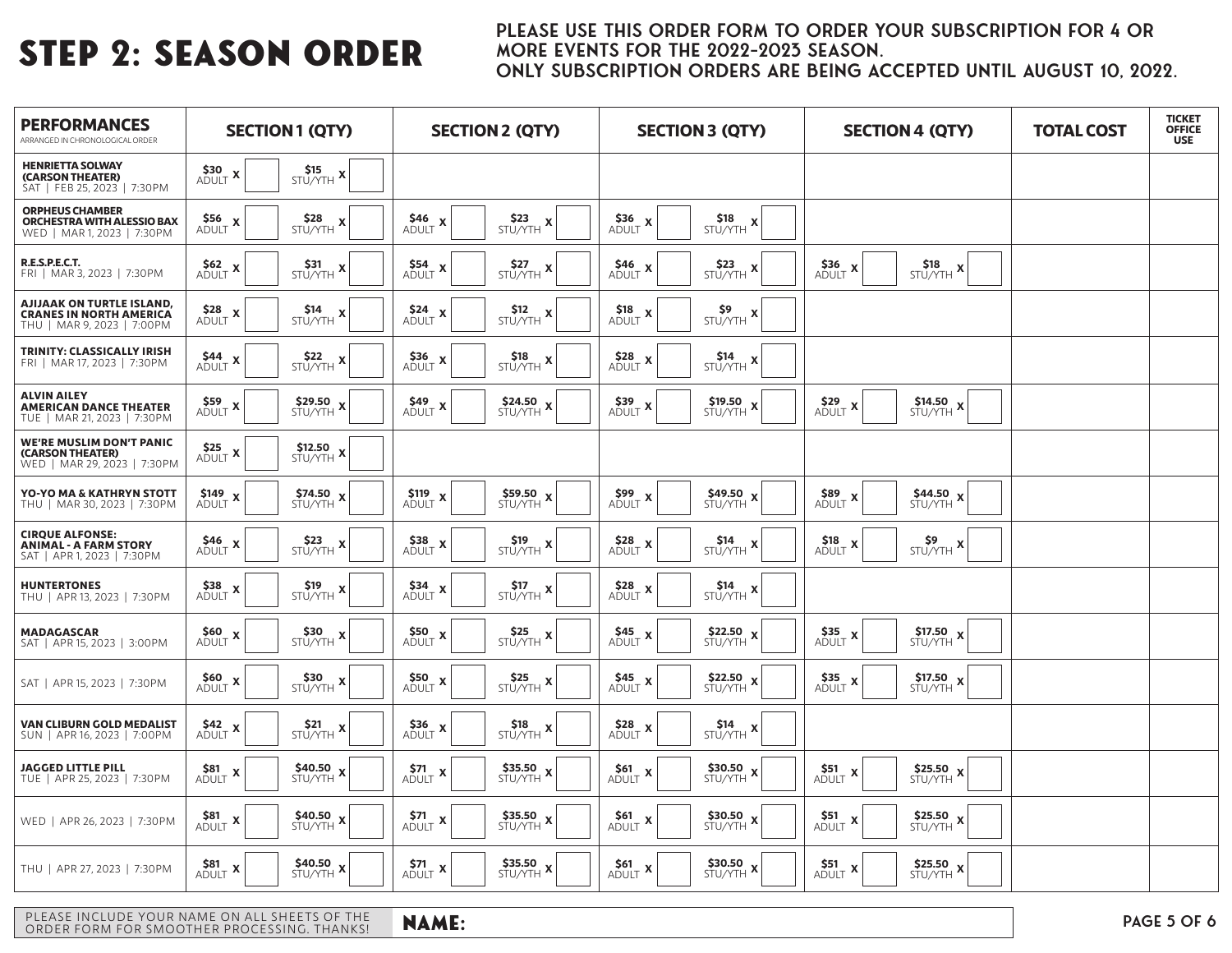### PLEASE USE THIS ORDER FORM TO ORDER YOUR SUBSCRIPTION FOR 4 OR MORE EVENTS FOR THE 2022-2023 SEASON. ONLY SUBSCRIPTION ORDERS ARE BEING ACCEPTED UNTIL AUGUST 10, 2022.

| <b>PERFORMANCES</b><br>ARRANGED IN CHRONOLOGICAL ORDER                                           | <b>SECTION1 (QTY)</b>                                                       | <b>SECTION 2 (QTY)</b>                                                                        | <b>SECTION 3 (QTY)</b>                                                                        | <b>SECTION 4 (QTY)</b>                                                                                                | <b>TOTAL COST</b> | <b>TICKET</b><br><b>OFFICE</b><br><b>USE</b> |
|--------------------------------------------------------------------------------------------------|-----------------------------------------------------------------------------|-----------------------------------------------------------------------------------------------|-----------------------------------------------------------------------------------------------|-----------------------------------------------------------------------------------------------------------------------|-------------------|----------------------------------------------|
| <b>HENRIETTA SOLWAY</b><br>(CARSON THEATER)<br>SAT   FEB 25, 2023   7:30PM                       | \$30<br>\$15<br>ADULT X<br>$STU/YTH$ X                                      |                                                                                               |                                                                                               |                                                                                                                       |                   |                                              |
| <b>ORPHEUS CHAMBER</b><br>ORCHESTRA WITH ALESSIO BAX<br>WED   MAR 1, 2023   7:30PM               | \$28<br>\$56 x<br>Adult<br>$STU/YTH$ X                                      | $$23$<br>STU/YTH $x$<br>\$46<br>$ADULT$ $X$                                                   | $\frac{\text{}336}{\text{ADULT}}$ X<br>\$18<br>$\boldsymbol{\mathsf{x}}$<br>STU/YTH           |                                                                                                                       |                   |                                              |
| <b>R.E.S.P.E.C.T.</b><br>FRI   MAR 3, 2023   7:30 PM                                             | $562$ X<br>Adult<br>\$31<br>STU/YTH<br>. X                                  | \$27<br>STU/YTH<br>$$54$ <sub>-X</sub><br>$\boldsymbol{\mathsf{x}}$<br><b>ADULT</b>           | $$46$$ Adult $\times$<br>\$23<br>$\mathbf{x}$<br>STU/YTH                                      | $$36 \ x$<br>\$18<br>$STU/YTH$ X<br><b>ADULT</b>                                                                      |                   |                                              |
| <b>AJIJAAK ON TURTLE ISLAND,</b><br><b>CRANES IN NORTH AMERICA</b><br>THU   MAR 9, 2023   7:00PM | $528$ X<br>Adult<br>$514$<br>$STU/YTH$ X                                    | $524$<br>Adult<br>$512$<br>STU/YTH $x$                                                        | $\underset{\text{ADULT}}{\text{S18}}$ x<br>$59$<br>STU/YTH                                    |                                                                                                                       |                   |                                              |
| TRINITY: CLASSICALLY IRISH<br>FRI   MAR 17, 2023   7:30 PM                                       | \$44<br>\$22<br>$ADULT$ X<br>$STU/YTH$ X                                    | $\underset{\text{ADULT}}{\text{S36}}$ x<br>\$18<br>$STU/YTH$ X                                | $\underset{\text{ADULT}}{\text{S28}}$ x<br>\$14<br>$STU/YTH$ X                                |                                                                                                                       |                   |                                              |
| <b>ALVIN AILEY</b><br><b>AMERICAN DANCE THEATER</b><br>TUE   MAR 21, 2023   7:30PM               | \$29.50<br>\$59<br>$STU/YTH$ $X$<br>ADULT X                                 | $\frac{\text{S49}}{\text{ADULT}}$ X<br>$$24.50$ $\times10/\gamma$ $\times10$                  | \$19.50<br>$\frac{\textbf{539}}{\textbf{ADULT}}$ X<br>$STU/YTH$ <b>X</b>                      | \$29<br>\$14.50<br>$STU/YTH$ <b>X</b><br>X<br><b>ADULT</b>                                                            |                   |                                              |
| <b>WE'RE MUSLIM DON'T PANIC</b><br>(CARSON THEATER)<br>WED   MAR 29, 2023   7:30PM               | $525$ X<br>Adult<br>$\frac{\text{S12.50}}{\text{STU/YTH}}$ x                |                                                                                               |                                                                                               |                                                                                                                       |                   |                                              |
| YO-YO MA & KATHRYN STOTT<br>THU   MAR 30, 2023   7:30PM                                          | \$149<br>\$74.50 $\times$<br>. X<br>ADULT<br>STU/YTH                        | \$119<br>\$59.50<br>$\boldsymbol{\mathsf{x}}$<br>$\mathbf x$<br>STU/YTH<br>ADULT              | \$99<br>\$49.50<br>$\boldsymbol{\mathsf{x}}$<br>$\boldsymbol{\mathsf{x}}$<br>ADULT<br>STU/YTH | \$89<br>\$44.50<br>$\boldsymbol{\mathsf{x}}$<br>X<br>ADULT<br>STU/YTH                                                 |                   |                                              |
| <b>CIRQUE ALFONSE:</b><br><b>ANIMAL - A FARM STORY</b><br>SAT   APR 1, 2023   7:30PM             | \$46<br>\$23<br>$\mathbf{x}$<br>$\mathbf x$<br><b>ADULT</b><br>STU/YTH      | $$38$ <sub>x</sub><br>\$19<br>X<br><b>ADULT</b><br>STU/YTH                                    | $528$<br>Adult<br>\$14<br>$\boldsymbol{\mathsf{x}}$<br>STU/YTH                                | \$18<br>\$9<br>. X<br>$\begin{array}{c}\n\downarrow \rightarrow \\ STU/YTH & \mathbf{X}\n\end{array}$<br><b>ADULT</b> |                   |                                              |
| <b>HUNTERTONES</b><br>THU   APR 13, 2023   7:30 PM                                               | \$38<br>\$19<br>$ADULT$ X<br>$STU/YTH$ X                                    | \$34<br>\$17<br>. X<br>$STU/YTH$ $X$<br>ADULT                                                 | $\underset{\text{ADULT}}{\text{S28}}$ x<br>\$14<br>$STU/YTH$ X                                |                                                                                                                       |                   |                                              |
| <b>MADAGASCAR</b><br>SAT   APR 15, 2023   3:00PM                                                 | \$60<br>\$30<br>$\boldsymbol{\mathsf{x}}$<br>. X<br>STU/YTH<br><b>ADULT</b> | \$50<br>\$25<br>. X<br>$STU/YTH$ X<br>ADULT                                                   | \$22.50<br>\$45<br>$ADULT$ X  <br>STU/YTH                                                     | \$35<br>\$17.50<br>$\boldsymbol{\mathsf{x}}$<br>$\boldsymbol{\mathsf{x}}$<br>STU/YTH<br><b>ADULT</b>                  |                   |                                              |
| SAT   APR 15, 2023   7:30PM                                                                      | \$60<br>\$30<br>$\boldsymbol{X}$<br>$\mathbf x$<br><b>ADULT</b><br>STU/YTH  | $\underset{\text{ADULT}}{\text{S50}}$ x<br>$$25$<br>STU/YTH $x$                               | \$22.50 $\times$<br>$S45$ X<br>STU/YTH                                                        | $$17.50 \times$<br>\$35<br>$\mathbf x$<br><b>ADULT</b><br>STU/YTH                                                     |                   |                                              |
| <b>VAN CLIBURN GOLD MEDALIST</b><br>SUN   APR 16, 2023   7:00PM                                  | $542$ X<br>Adult<br>$$21$<br>STU/YTH $x$                                    | $\frac{\textbf{536}}{\textbf{ADULT}}$ <b>x</b><br>$$18$<br>STU/YTH $x$                        | $\underset{\text{ADULT}}{\text{S28}}$ x<br>\$14<br>, <b>X</b><br>STU/YTH                      |                                                                                                                       |                   |                                              |
| <b>JAGGED LITTLE PILL</b><br>TUE   APR 25, 2023   7:30PM                                         | $$40.50\times$57U/YTH}$ x<br>$581$ X Adult                                  | \$35.50<br>$\overset{\text{S71}}{\text{ADULT}}$ x<br>$\mathbf{x}$<br>STU/YTH                  | \$30.50<br>$_{\text{ADULT}}^{\text{S61}}$ x<br>$\boldsymbol{\mathsf{x}}$<br>STU/YTH           | $$25.50$<br>STU/YTH X<br><b>\$51</b><br>Adult<br>X                                                                    |                   |                                              |
| WED   APR 26, 2023   7:30PM                                                                      | \$40.50<br>\$81<br>$\boldsymbol{\mathsf{x}}$<br>X<br>ADULT<br>STU/YTH       | \$35.50<br>\$71<br>$\pmb{\mathsf{x}}$<br>$\boldsymbol{\mathsf{x}}$<br>STU/YTH<br><b>ADULT</b> | \$30.50<br>\$61<br>ADULT X<br>STU/YTH                                                         | \$51<br>\$25.50<br>$\boldsymbol{\mathsf{x}}$<br>X<br>STU/YTH<br><b>ADULT</b>                                          |                   |                                              |
| THU   APR 27, 2023   7:30PM                                                                      | \$40.50<br>\$81<br>$STU/YTH$ <b>X</b><br>X<br>ADULT                         | \$35.50<br>\$71<br>$ADULT$ <b>x</b><br>$STU/YTH$ $X$                                          | \$30.50<br>\$61<br>ADULT X<br>$STU/YTH$ $X$                                                   | \$25.50<br>\$51<br>$STU/YTH$ $X$<br>X<br><b>ADULT</b>                                                                 |                   |                                              |